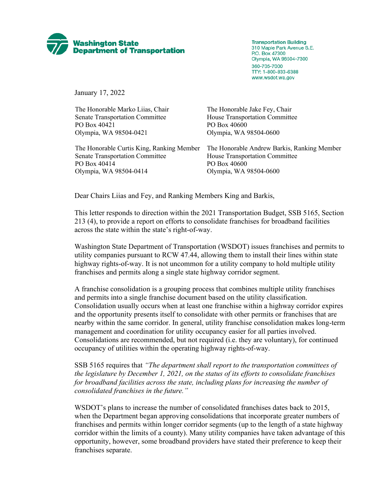

**Transportation Building** 310 Maple Park Avenue S.E. P.O. Box 47300 Olympia, WA 98504-7300 360-705-7000 TTY: 1-800-833-6388 www.wsdot.wa.gov

January 17, 2022

The Honorable Marko Liias, Chair The Honorable Jake Fey, Chair Senate Transportation Committee House Transportation Committee PO Box 40421 PO Box 40600 Olympia, WA 98504-0421 Olympia, WA 98504-0600

Senate Transportation Committee House Transportation Committee PO Box 40414 PO Box 40600 Olympia, WA 98504-0414 Olympia, WA 98504-0600

The Honorable Curtis King, Ranking Member The Honorable Andrew Barkis, Ranking Member

Dear Chairs Liias and Fey, and Ranking Members King and Barkis,

This letter responds to direction within the 2021 Transportation Budget, SSB 5165, Section 213 (4), to provide a report on efforts to consolidate franchises for broadband facilities across the state within the state's right-of-way.

Washington State Department of Transportation (WSDOT) issues franchises and permits to utility companies pursuant to RCW 47.44, allowing them to install their lines within state highway rights-of-way. It is not uncommon for a utility company to hold multiple utility franchises and permits along a single state highway corridor segment.

A franchise consolidation is a grouping process that combines multiple utility franchises and permits into a single franchise document based on the utility classification. Consolidation usually occurs when at least one franchise within a highway corridor expires and the opportunity presents itself to consolidate with other permits or franchises that are nearby within the same corridor. In general, utility franchise consolidation makes long-term management and coordination for utility occupancy easier for all parties involved. Consolidations are recommended, but not required (i.e. they are voluntary), for continued occupancy of utilities within the operating highway rights-of-way.

SSB 5165 requires that *"The department shall report to the transportation committees of the legislature by December 1, 2021, on the status of its efforts to consolidate franchises for broadband facilities across the state, including plans for increasing the number of consolidated franchises in the future."*

WSDOT's plans to increase the number of consolidated franchises dates back to 2015, when the Department began approving consolidations that incorporate greater numbers of franchises and permits within longer corridor segments (up to the length of a state highway corridor within the limits of a county). Many utility companies have taken advantage of this opportunity, however, some broadband providers have stated their preference to keep their franchises separate.